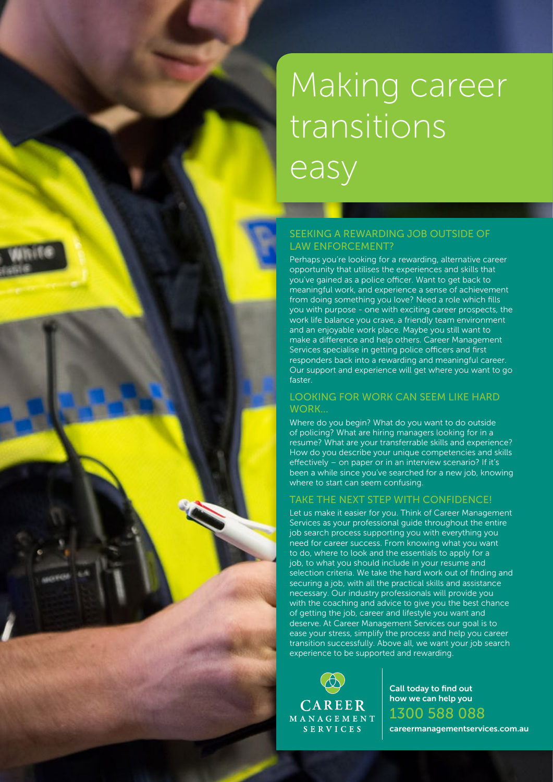# Making career transitions easy

## SEEKING A REWARDING JOB OUTSIDE OF LAW ENFORCEMENT?

Perhaps you're looking for a rewarding, alternative career opportunity that utilises the experiences and skills that you've gained as a police officer. Want to get back to meaningful work, and experience a sense of achievement from doing something you love? Need a role which fills you with purpose - one with exciting career prospects, the work life balance you crave, a friendly team environment and an enjoyable work place. Maybe you still want to make a difference and help others. Career Management Services specialise in getting police officers and first responders back into a rewarding and meaningful career. Our support and experience will get where you want to go faster.

#### LOOKING FOR WORK CAN SEEM LIKE HARD WORK…

Where do you begin? What do you want to do outside of policing? What are hiring managers looking for in a resume? What are your transferrable skills and experience? How do you describe your unique competencies and skills effectively – on paper or in an interview scenario? If it's been a while since you've searched for a new job, knowing where to start can seem confusing.

## TAKE THE NEXT STEP WITH CONFIDENCE!

Let us make it easier for you. Think of Career Management Services as your professional guide throughout the entire job search process supporting you with everything you need for career success. From knowing what you want to do, where to look and the essentials to apply for a job, to what you should include in your resume and selection criteria. We take the hard work out of finding and securing a job, with all the practical skills and assistance necessary. Our industry professionals will provide you with the coaching and advice to give you the best chance of getting the job, career and lifestyle you want and deserve. At Career Management Services our goal is to ease your stress, simplify the process and help you career transition successfully. Above all, we want your job search experience to be supported and rewarding.

CAREER MANAGEMENT SERVICES

Call today to find out how we can help you 1300 588 088

careermanagementservices.com.au